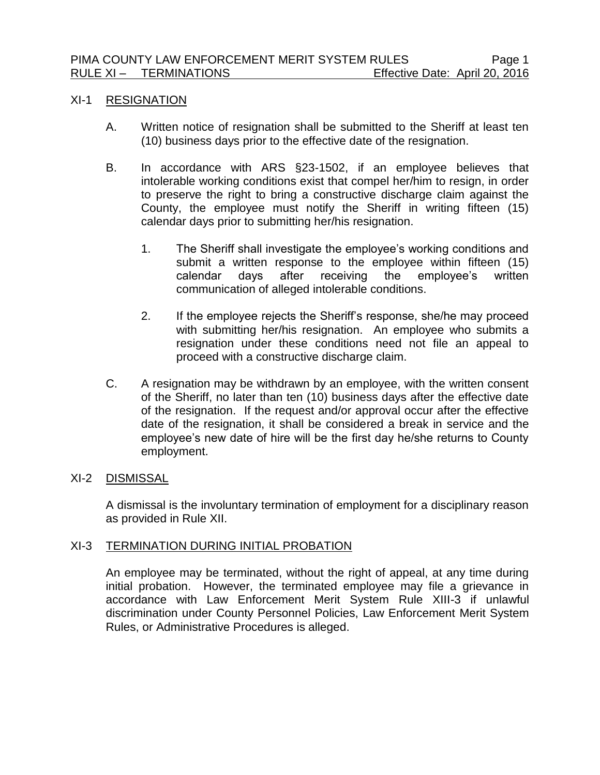### XI-1 RESIGNATION

- A. Written notice of resignation shall be submitted to the Sheriff at least ten (10) business days prior to the effective date of the resignation.
- B. In accordance with ARS §23-1502, if an employee believes that intolerable working conditions exist that compel her/him to resign, in order to preserve the right to bring a constructive discharge claim against the County, the employee must notify the Sheriff in writing fifteen (15) calendar days prior to submitting her/his resignation.
	- 1. The Sheriff shall investigate the employee's working conditions and submit a written response to the employee within fifteen (15) calendar days after receiving the employee's written communication of alleged intolerable conditions.
	- 2. If the employee rejects the Sheriff's response, she/he may proceed with submitting her/his resignation. An employee who submits a resignation under these conditions need not file an appeal to proceed with a constructive discharge claim.
- C. A resignation may be withdrawn by an employee, with the written consent of the Sheriff, no later than ten (10) business days after the effective date of the resignation. If the request and/or approval occur after the effective date of the resignation, it shall be considered a break in service and the employee's new date of hire will be the first day he/she returns to County employment.

# XI-2 DISMISSAL

A dismissal is the involuntary termination of employment for a disciplinary reason as provided in Rule XII.

# XI-3 TERMINATION DURING INITIAL PROBATION

An employee may be terminated, without the right of appeal, at any time during initial probation. However, the terminated employee may file a grievance in accordance with Law Enforcement Merit System Rule XIII-3 if unlawful discrimination under County Personnel Policies, Law Enforcement Merit System Rules, or Administrative Procedures is alleged.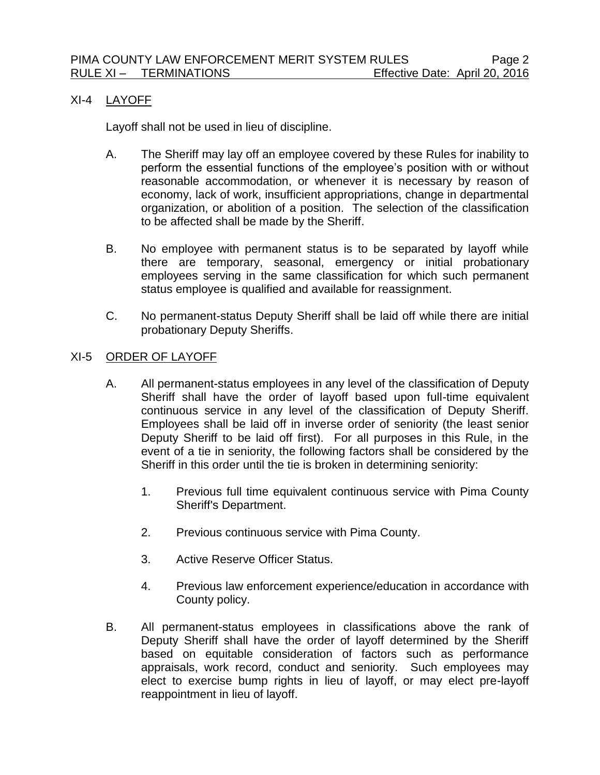# XI-4 LAYOFF

Layoff shall not be used in lieu of discipline.

- A. The Sheriff may lay off an employee covered by these Rules for inability to perform the essential functions of the employee's position with or without reasonable accommodation, or whenever it is necessary by reason of economy, lack of work, insufficient appropriations, change in departmental organization, or abolition of a position. The selection of the classification to be affected shall be made by the Sheriff.
- B. No employee with permanent status is to be separated by layoff while there are temporary, seasonal, emergency or initial probationary employees serving in the same classification for which such permanent status employee is qualified and available for reassignment.
- C. No permanent-status Deputy Sheriff shall be laid off while there are initial probationary Deputy Sheriffs.

## XI-5 ORDER OF LAYOFF

- A. All permanent-status employees in any level of the classification of Deputy Sheriff shall have the order of layoff based upon full-time equivalent continuous service in any level of the classification of Deputy Sheriff. Employees shall be laid off in inverse order of seniority (the least senior Deputy Sheriff to be laid off first). For all purposes in this Rule, in the event of a tie in seniority, the following factors shall be considered by the Sheriff in this order until the tie is broken in determining seniority:
	- 1. Previous full time equivalent continuous service with Pima County Sheriff's Department.
	- 2. Previous continuous service with Pima County.
	- 3. Active Reserve Officer Status.
	- 4. Previous law enforcement experience/education in accordance with County policy.
- B. All permanent-status employees in classifications above the rank of Deputy Sheriff shall have the order of layoff determined by the Sheriff based on equitable consideration of factors such as performance appraisals, work record, conduct and seniority. Such employees may elect to exercise bump rights in lieu of layoff, or may elect pre-layoff reappointment in lieu of layoff.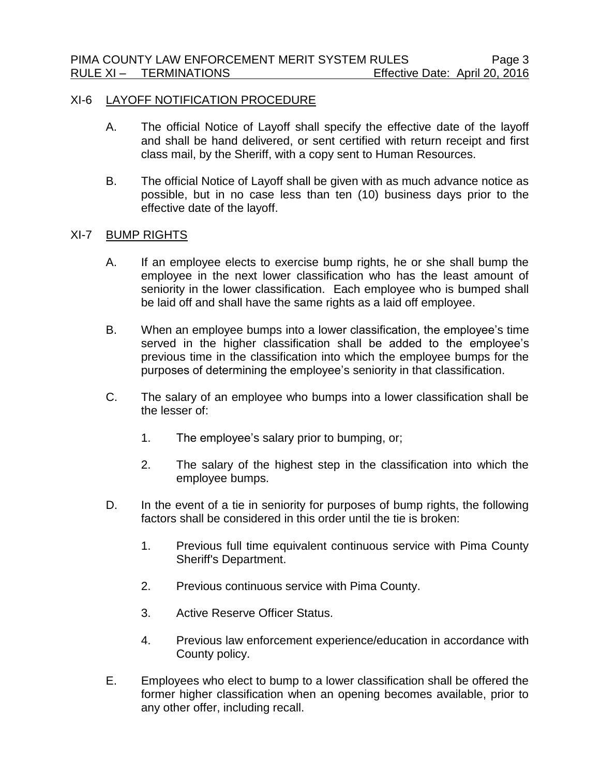### XI-6 LAYOFF NOTIFICATION PROCEDURE

- A. The official Notice of Layoff shall specify the effective date of the layoff and shall be hand delivered, or sent certified with return receipt and first class mail, by the Sheriff, with a copy sent to Human Resources.
- B. The official Notice of Layoff shall be given with as much advance notice as possible, but in no case less than ten (10) business days prior to the effective date of the layoff.

## XI-7 BUMP RIGHTS

- A. If an employee elects to exercise bump rights, he or she shall bump the employee in the next lower classification who has the least amount of seniority in the lower classification. Each employee who is bumped shall be laid off and shall have the same rights as a laid off employee.
- B. When an employee bumps into a lower classification, the employee's time served in the higher classification shall be added to the employee's previous time in the classification into which the employee bumps for the purposes of determining the employee's seniority in that classification.
- C. The salary of an employee who bumps into a lower classification shall be the lesser of:
	- 1. The employee's salary prior to bumping, or;
	- 2. The salary of the highest step in the classification into which the employee bumps.
- D. In the event of a tie in seniority for purposes of bump rights, the following factors shall be considered in this order until the tie is broken:
	- 1. Previous full time equivalent continuous service with Pima County Sheriff's Department.
	- 2. Previous continuous service with Pima County.
	- 3. Active Reserve Officer Status.
	- 4. Previous law enforcement experience/education in accordance with County policy.
- E. Employees who elect to bump to a lower classification shall be offered the former higher classification when an opening becomes available, prior to any other offer, including recall.